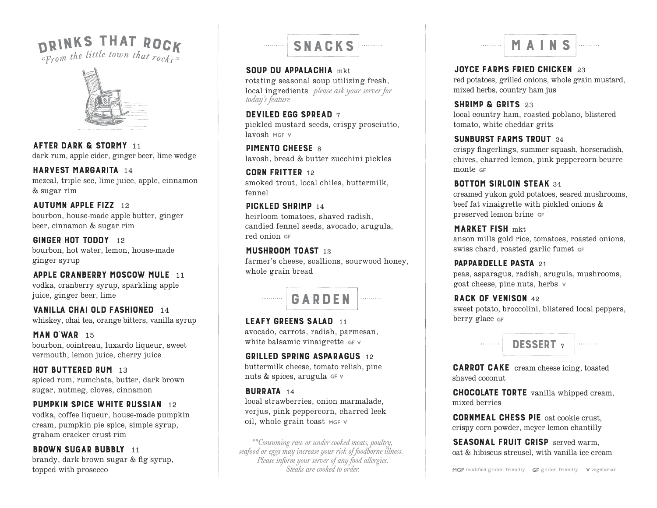# DRINKS THAT ROCK



AFTER DARK & STORMY <sup>11</sup> dark rum, apple cider, ginger beer, lime wedge

#### HARVEST MARGARITA <sup>14</sup> mezcal, triple sec, lime juice, apple, cinnamon

& sugar rim

## **AUTUMN APPLE FIZZ** 12

bourbon, house-made apple butter, ginger beer, cinnamon & sugar rim

#### GINGER HOT TODDY 12 bourbon, hot water, lemon, house-made ginger syrup

#### APPLE CRANBERRY MOSCOW MULE 11 vodka, cranberry syrup, sparkling apple juice, ginger beer, lime

VANILLA CHAI OLD FASHIONED 14

whiskey, chai tea, orange bitters, vanilla syrup

#### MAN O'WAR <sup>15</sup> bourbon, cointreau, luxardo liqueur, sweet vermouth, lemon juice, cherry juice

## HOT BUTTERED RUM 13

spiced rum, rumchata, butter, dark brown sugar, nutmeg, cloves, cinnamon

## **PUMPKIN SPICE WHITE RUSSIAN** 12

vodka, coffee liqueur, house-made pumpkin cream, pumpkin pie spice, simple syrup, graham cracker crust rim

## **BROWN SUGAR BUBBLY 11**

brandy, dark brown sugar & fig syrup, topped with prosecco

#### SNACKS MAINSTERS . . . . . . . . . .

SOUP DU APPALACHIA mkt. rotating seasonal soup utilizing fresh, local ingredients *please ask your server for today's feature*

#### DEVILED EGG SPREAD 7

pickled mustard seeds, crispy prosciutto, lavosh MGF V

**PIMENTO CHEESE 8** lavosh, bread & butter zucchini pickles

CORN FRITTER 12 smoked trout, local chiles, buttermilk, fennel

## PICKLED SHRIMP 14

heirloom tomatoes, shaved radish, candied fennel seeds, avocado, arugula, red onion

#### MUSHROOM TOAST 12

farmer's cheese, scallions, sourwood honey, whole grain bread



#### LEAFY GREENS SALAD 11 avocado, carrots, radish, parmesan, white balsamic vinaigrette GFV

## GRILLED SPRING ASPARAGUS 12

buttermilk cheese, tomato relish, pine nuts & spices, arugula $\mathop{\circ}\nolimits$ r $\lor$ 

## BURRATA 14

local strawberries, onion marmalade, verjus, pink peppercorn, charred leek oil, whole grain toast MGF V

*\*\*Consuming raw or under cooked meats, poultry, seafood or eggs may increase your risk of foodborne illness. Please inform your server of any food allergies. Steaks are cooked to order.*



JOYCE FARMS FRIED CHICKEN 23 red potatoes, grilled onions, whole grain mustard, mixed herbs, country ham jus

SHRIMP & GRITS 23 local country ham, roasted poblano, blistered tomato, white cheddar grits

### sunburst farms trout <sup>24</sup>

crispy fingerlings, summer squash, horseradish, chives, charred lemon, pink peppercorn beurre monte GF

## **BOTTOM SIRLOIN STEAK 34**

creamed yukon gold potatoes, seared mushrooms, beef fat vinaigrette with pickled onions & preserved lemon brine

## MARKET FISH mkt

anson mills gold rice, tomatoes, roasted onions, swiss chard, roasted garlic fumet

#### **PAPPARDELLE PASTA 21**

peas, asparagus, radish, arugula, mushrooms, goat cheese, pine nuts, herbs

## RACK OF VENISON 42

sweet potato, broccolini, blistered local peppers, berry glace GF



CARROT CAKE cream cheese icing, toasted shaved coconut

CHOCOLATE TORTE vanilla whipped cream, mixed berries

CORNMEAL CHESS PIE oat cookie crust, crispy corn powder, meyer lemon chantilly

SEASONAL FRUIT CRISP served warm. oat & hibiscus streusel, with vanilla ice cream